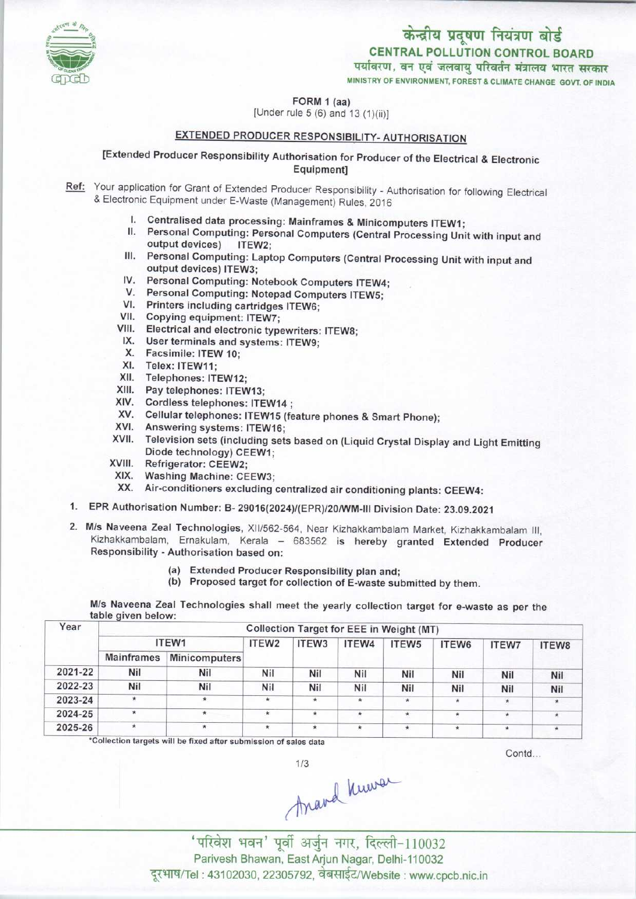

CENTRAL POLLUTION CONTROL BOARD<br>पर्यावरण, वन एवं जलवाय परिवर्तन मंत्रालय भारत सरकार

FORM 1 (aa)

[Under rule  $5(6)$  and  $13(1)(ii)$ ]

## EXTENDED PRODUCER RESPONSIBILITY-AUTHORISATION

## [Extended Producer Responsibility Authorisation for Producer of the Electrical & Electronic Equipment]

- Ref: Your application for Grant of Extended Producer Responsibility Authorisation for following Electrical & Electronic Equipment under E-Waste (Management) Rules, 2016
	- I. Centralised data processing: Mainframes & Minicomputers ITEW1;<br>II. Personal Computing: Personal Computers (Central Processing Unit
	- Personal Computing: Personal Computers (Central Processing Unit with input and output devices) ITEW2: output devices)
	- III. Personal Computing: Laptop Computers (Central Processing Unit with input and output devices) ITEW3; output devices) ITEW3;<br>IV. Personal Computing: Notebook Computers ITEW4;
	- V. Personal Computing: Notebook Computers ITEW-<br>V. Personal Computing: Notepad Computers ITEW5;
	- V. Personal Computing: Notepad Computers ITEW5;<br>VI. Printers including cartridges ITEW6;
	-
	- VII. Copying equipment: ITEW7;
	- VIII. Electrical and electronic typewriters: ITEW8;<br>IX. User terminals and systems: ITEW9;
	- IX. User terminals and systems: ITEW9;<br>X. Facsimile: ITEW 10;<br>XI. Telex: ITEW11;
	- X. Facsimile: ITEW 10;
	-
	- XII. Telephones: ITEW12;
	- XII. Telephones: ITEW12;<br>XIII. Pay telephones: ITEW13;
	- XIII. Pay telephones: ITEW13;<br>XIV. Cordless telephones: ITEW14
	- XIV. Cordiess telephones: ITEW14 ;<br>XV. Cellular telephones: ITEW15 (feature phones & Smart Phone); XV. Cellular telephones: ITEW15<br>XVI. Answering systems: ITEW16;
	-
	- XVI. Answering systems: ITEW16;<br>XVII. Television sets (including sets based on (Liquid Crystal Display and Light Emitting Diode technology) CEEW1;
	- XVIII. Refrigerator: CEEW2;
	- XIX. Washing Machine: CEEW3;
	- XX. Air-conditioners excluding centralized air conditioning plants: CEEW4:
- 1.EPR Authorisation Number: B- 29016(2024)/{EPR)/20/WM-III Division Date: 23.09.2021
- 2.M/s Naveena Zeal Technologies, XII/562-564, Near Kizhakkambalam Market, Kizhakkambalam III, Kizhakkambalam, Ernakulam, Kerala - 683562 is hereby granted Extended Producer Responsibility - Authorisation based on:
	- (a)Extended Producer Responsibility plan and;
	- (b) Proposed target for collection of E-waste submitted by them.

M/s Naveena Zeal Technologies shall meet the yearly collection target for e-waste as per the

| Year    | Collection Target for EEE in Weight (MT) |                      |                   |         |         |                   |         |              |              |  |  |
|---------|------------------------------------------|----------------------|-------------------|---------|---------|-------------------|---------|--------------|--------------|--|--|
|         | ITEW1                                    |                      | ITEW <sub>2</sub> | ITEW3   | ITEW4   | ITEW <sub>5</sub> | ITEW6   | <b>ITEW7</b> | <b>ITEW8</b> |  |  |
|         | <b>Mainframes</b>                        | <b>Minicomputers</b> |                   |         |         |                   |         |              |              |  |  |
| 2021-22 | Nil                                      | Nil                  | Nil               | Nil     | Nil     | Nil               | Nil     | Nil          | Nil          |  |  |
| 2022-23 | Nil                                      | Nil                  | Nil               | Nil     | Nil     | Nil               | Nil     | Nil          | Nil          |  |  |
| 2023-24 | $\star$                                  | *                    | $\star$           | $\star$ | $\star$ | $\star$           | $\star$ |              | $\star$      |  |  |
| 2024-25 | $\star$                                  | $\star$              | $\star$           | $\star$ | $\star$ | *                 | $\star$ | $\star$      | $\star$      |  |  |
| 2025-26 | $\star$                                  | $\star$              | ∗                 | $\star$ | $\star$ | $\star$           | $\star$ | $\star$      | *            |  |  |

 $1/3$ 

\*Collection targets will be fixed after submission of sales data

Contd...

trand Knowa

'परिवेश भवन' पूर्वी अर्जुन नगर, दिल्ली-110032 Parivesh Bhawan, East Arjun Nagar, Delhi-110032 दूरभाष/Tel : 43102030, 22305792, वेबसाईट/Website : www.cpcb.nic.in

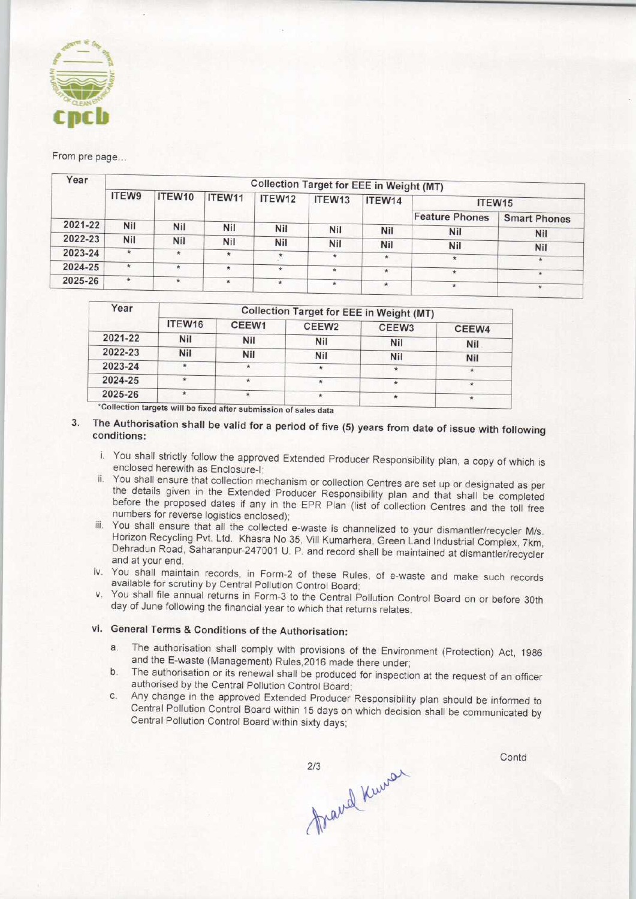

From pre page...

| Year    | <b>Collection Target for EEE in Weight (MT)</b> |            |         |            |            |         |                       |                     |  |  |
|---------|-------------------------------------------------|------------|---------|------------|------------|---------|-----------------------|---------------------|--|--|
|         | <b>ITEW9</b>                                    | ITEW10     | ITEW11  | ITEW12     | ITEW13     | ITEW14  | ITEW15                |                     |  |  |
|         |                                                 |            |         |            |            |         | <b>Feature Phones</b> | <b>Smart Phones</b> |  |  |
| 2021-22 | Nil                                             | Nil        | Nil     | <b>Nil</b> | <b>Nil</b> | Nil     | <b>Nil</b>            | <b>Nil</b>          |  |  |
| 2022-23 | <b>Nil</b>                                      | <b>Nil</b> | Nil     | Nil        | Nil        | Nil     | <b>Nil</b>            |                     |  |  |
| 2023-24 | $*$                                             | $\star$    | $\star$ |            | $\star$    | $\star$ | $\star$               | Nil                 |  |  |
| 2024-25 | $\star$                                         | $\ast$     |         | $\star$    | ÷          |         |                       |                     |  |  |
| 2025-26 | $\star$                                         | *          |         |            |            | $\star$ | $\star$               | $\star$             |  |  |
|         |                                                 |            | ★       | $\star$    | $\star$    | $\star$ | $\star$               |                     |  |  |

| ITEW16     | CEEW1 | CEEW <sub>2</sub> | CEEW <sub>3</sub> | CEEW4                                                  |  |  |  |
|------------|-------|-------------------|-------------------|--------------------------------------------------------|--|--|--|
| <b>Nil</b> | Nil   | <b>Nil</b>        |                   | <b>Nil</b>                                             |  |  |  |
| Nil        | Nil   | <b>Nil</b>        |                   | <b>Nil</b>                                             |  |  |  |
| $\star$    |       | ÷                 |                   | $\star$                                                |  |  |  |
| ÷          |       |                   |                   | $\star$                                                |  |  |  |
| $\star$    |       | $\star$           | ÷                 | $\star$                                                |  |  |  |
|            |       |                   |                   | Collection Target for EEE in Weight (MT)<br>Nil<br>Nil |  |  |  |

ts will be fixed after submission of sales data

## 3. The Authorisation shall be valid for a period of five (5) years from date of issue with following conditions:

- i. You shall strictly follow the approved Extended Producer Responsibility plan, a copy of which is enclosed herewith as Enclosure-I;
- ii, You shall ensure that collection mechanism or collection Centres are set up or designated as per the details given in the Extended Producer Responsibility plan and that shall be completed before the proposed dates if any in the EPR Plan (list of collection Centres and the toll free numbers for reverse logistics enclosed);
- iii. You shall ensure that all the collected e-waste is channelized to your dismantler/recycler M/s. Horizon Recycling Pvt. Ltd. Khasra No 35, Vill Kumarhera, Green Land Industrial Complex, 7km, Dehradun Road, Saharanpur-247001 U. P. and record shall be maintained at dismantler/recycler and at your end.
- iv. You shall maintain records, in Form-2 of these Rules, of e-waste and make such records available for scrutiny by Central Pollution Control Board;
- v. You shall file annual returns in Form-3 to the Central Pollution Control Board on or before 30th day of June following the financial year to which that returns relates.

## vi. General Terms& Conditions of the Authorisation:

- a. The authorisation shall comply with provisions of the Environment (Protection) Act, 1986 and the E-waste (Management) Rules,2016 made there under;
- b. The authorisation or its renewal shall be produced for inspection at the request of an officer authorised by the Central Pollution Control Board;
- c.Any change in the approved Extended Producer Responsibility plan should be informed to Central Pollution Control Board within 15 days on which decision shall be communicated by Central Pollution Control Board within sixty days;

mand Kninger

Contd